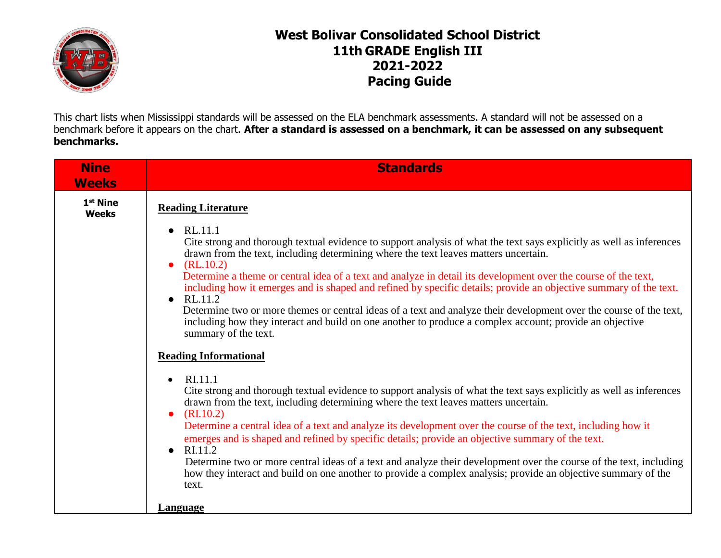

## **West Bolivar Consolidated School District 11th GRADE English III 2021-2022 Pacing Guide**

This chart lists when Mississippi standards will be assessed on the ELA benchmark assessments. A standard will not be assessed on a benchmark before it appears on the chart. **After a standard is assessed on a benchmark, it can be assessed on any subsequent benchmarks.**

| <b>Nine</b><br><b>Weeks</b>          | <b>Standards</b>                                                                                                                                                                                                                                                                                                                                                                                   |
|--------------------------------------|----------------------------------------------------------------------------------------------------------------------------------------------------------------------------------------------------------------------------------------------------------------------------------------------------------------------------------------------------------------------------------------------------|
| 1 <sup>st</sup> Nine<br><b>Weeks</b> | <b>Reading Literature</b>                                                                                                                                                                                                                                                                                                                                                                          |
|                                      | RL.11.1<br>$\bullet$<br>Cite strong and thorough textual evidence to support analysis of what the text says explicitly as well as inferences<br>drawn from the text, including determining where the text leaves matters uncertain.<br>(RL.10.2)<br>$\bullet$<br>Determine a theme or central idea of a text and analyze in detail its development over the course of the text,                    |
|                                      | including how it emerges and is shaped and refined by specific details; provide an objective summary of the text.<br>RL.11.2<br>$\bullet$<br>Determine two or more themes or central ideas of a text and analyze their development over the course of the text,<br>including how they interact and build on one another to produce a complex account; provide an objective<br>summary of the text. |
|                                      | <b>Reading Informational</b>                                                                                                                                                                                                                                                                                                                                                                       |
|                                      | RI.11.1<br>$\bullet$<br>Cite strong and thorough textual evidence to support analysis of what the text says explicitly as well as inferences<br>drawn from the text, including determining where the text leaves matters uncertain.<br>(RI.10.2)<br>$\bullet$                                                                                                                                      |
|                                      | Determine a central idea of a text and analyze its development over the course of the text, including how it<br>emerges and is shaped and refined by specific details; provide an objective summary of the text.<br>RI.11.2                                                                                                                                                                        |
|                                      | Determine two or more central ideas of a text and analyze their development over the course of the text, including<br>how they interact and build on one another to provide a complex analysis; provide an objective summary of the<br>text.                                                                                                                                                       |
|                                      | Language                                                                                                                                                                                                                                                                                                                                                                                           |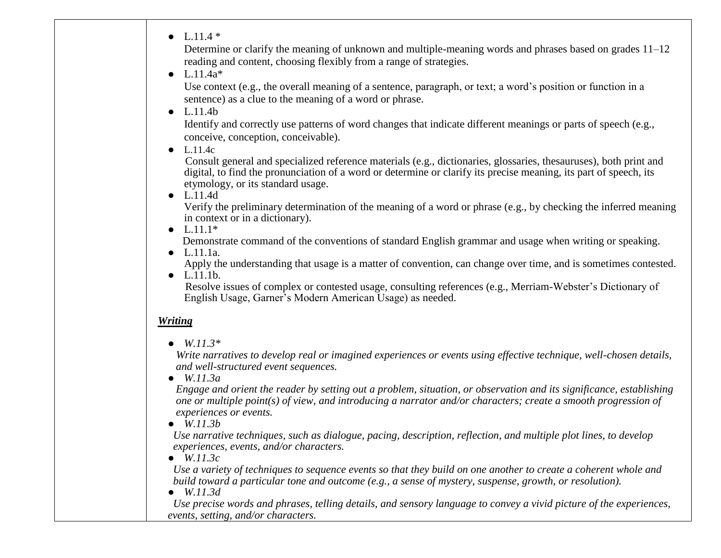| • $L.11.4*$                                                                                                                                                                                                                                                                                               |
|-----------------------------------------------------------------------------------------------------------------------------------------------------------------------------------------------------------------------------------------------------------------------------------------------------------|
| Determine or clarify the meaning of unknown and multiple-meaning words and phrases based on grades 11–12<br>reading and content, choosing flexibly from a range of strategies.                                                                                                                            |
| • $L.11.4a*$<br>Use context (e.g., the overall meaning of a sentence, paragraph, or text; a word's position or function in a<br>sentence) as a clue to the meaning of a word or phrase.                                                                                                                   |
| $\bullet$ L.11.4b                                                                                                                                                                                                                                                                                         |
| Identify and correctly use patterns of word changes that indicate different meanings or parts of speech (e.g.,<br>conceive, conception, conceivable).                                                                                                                                                     |
| $\bullet$ L.11.4c                                                                                                                                                                                                                                                                                         |
| Consult general and specialized reference materials (e.g., dictionaries, glossaries, thesauruses), both print and<br>digital, to find the pronunciation of a word or determine or clarify its precise meaning, its part of speech, its<br>etymology, or its standard usage.<br>$\bullet$ L.11.4d          |
| Verify the preliminary determination of the meaning of a word or phrase (e.g., by checking the inferred meaning<br>in context or in a dictionary).<br>• $L.11.1*$                                                                                                                                         |
| Demonstrate command of the conventions of standard English grammar and usage when writing or speaking.                                                                                                                                                                                                    |
| $\bullet$ L.11.1a.                                                                                                                                                                                                                                                                                        |
| Apply the understanding that usage is a matter of convention, can change over time, and is sometimes contested.<br>$\bullet$ L.11.1b.                                                                                                                                                                     |
| Resolve issues of complex or contested usage, consulting references (e.g., Merriam-Webster's Dictionary of<br>English Usage, Garner's Modern American Usage) as needed.                                                                                                                                   |
| <b>Writing</b>                                                                                                                                                                                                                                                                                            |
| • $W.11.3*$                                                                                                                                                                                                                                                                                               |
| Write narratives to develop real or imagined experiences or events using effective technique, well-chosen details,<br>and well-structured event sequences.                                                                                                                                                |
| $\bullet$ W.11.3a<br>Engage and orient the reader by setting out a problem, situation, or observation and its significance, establishing<br>one or multiple point(s) of view, and introducing a narrator and/or characters; create a smooth progression of<br>experiences or events.<br>$\bullet$ W.11.3b |
| Use narrative techniques, such as dialogue, pacing, description, reflection, and multiple plot lines, to develop<br>experiences, events, and/or characters.<br>W.11.3c                                                                                                                                    |
| Use a variety of techniques to sequence events so that they build on one another to create a coherent whole and<br>build toward a particular tone and outcome (e.g., a sense of mystery, suspense, growth, or resolution).<br>$\bullet$ W.11.3d                                                           |
| Use precise words and phrases, telling details, and sensory language to convey a vivid picture of the experiences,<br>events, setting, and/or characters.                                                                                                                                                 |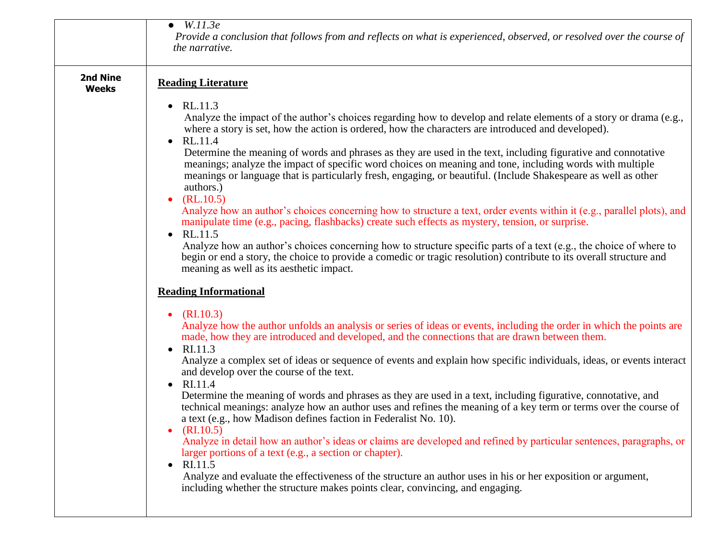|                                 | $\bullet$ W.11.3e<br>Provide a conclusion that follows from and reflects on what is experienced, observed, or resolved over the course of<br>the narrative.                                                                                                                                                                                                                                                                                                                                                                                                                                                                                                                                                                                                                                                                                                                                                                                                                                                                                                                                                                                                                                                                                       |
|---------------------------------|---------------------------------------------------------------------------------------------------------------------------------------------------------------------------------------------------------------------------------------------------------------------------------------------------------------------------------------------------------------------------------------------------------------------------------------------------------------------------------------------------------------------------------------------------------------------------------------------------------------------------------------------------------------------------------------------------------------------------------------------------------------------------------------------------------------------------------------------------------------------------------------------------------------------------------------------------------------------------------------------------------------------------------------------------------------------------------------------------------------------------------------------------------------------------------------------------------------------------------------------------|
| <b>2nd Nine</b><br><b>Weeks</b> | <b>Reading Literature</b><br>RL.11.3<br>$\bullet$<br>Analyze the impact of the author's choices regarding how to develop and relate elements of a story or drama (e.g.,<br>where a story is set, how the action is ordered, how the characters are introduced and developed).<br>RL.11.4<br>$\bullet$<br>Determine the meaning of words and phrases as they are used in the text, including figurative and connotative<br>meanings; analyze the impact of specific word choices on meaning and tone, including words with multiple<br>meanings or language that is particularly fresh, engaging, or beautiful. (Include Shakespeare as well as other<br>authors.)<br>(RL.10.5)<br>$\bullet$<br>Analyze how an author's choices concerning how to structure a text, order events within it (e.g., parallel plots), and<br>manipulate time (e.g., pacing, flashbacks) create such effects as mystery, tension, or surprise.<br>RL.11.5<br>Analyze how an author's choices concerning how to structure specific parts of a text (e.g., the choice of where to<br>begin or end a story, the choice to provide a comedic or tragic resolution) contribute to its overall structure and<br>meaning as well as its aesthetic impact.                     |
|                                 | <b>Reading Informational</b><br>(RI.10.3)<br>$\bullet$<br>Analyze how the author unfolds an analysis or series of ideas or events, including the order in which the points are<br>made, how they are introduced and developed, and the connections that are drawn between them.<br>RI.11.3<br>$\bullet$<br>Analyze a complex set of ideas or sequence of events and explain how specific individuals, ideas, or events interact<br>and develop over the course of the text.<br>RI.11.4<br>$\bullet$<br>Determine the meaning of words and phrases as they are used in a text, including figurative, connotative, and<br>technical meanings: analyze how an author uses and refines the meaning of a key term or terms over the course of<br>a text (e.g., how Madison defines faction in Federalist No. 10).<br>(RI.10.5)<br>$\bullet$<br>Analyze in detail how an author's ideas or claims are developed and refined by particular sentences, paragraphs, or<br>larger portions of a text (e.g., a section or chapter).<br>RI.11.5<br>$\bullet$<br>Analyze and evaluate the effectiveness of the structure an author uses in his or her exposition or argument,<br>including whether the structure makes points clear, convincing, and engaging. |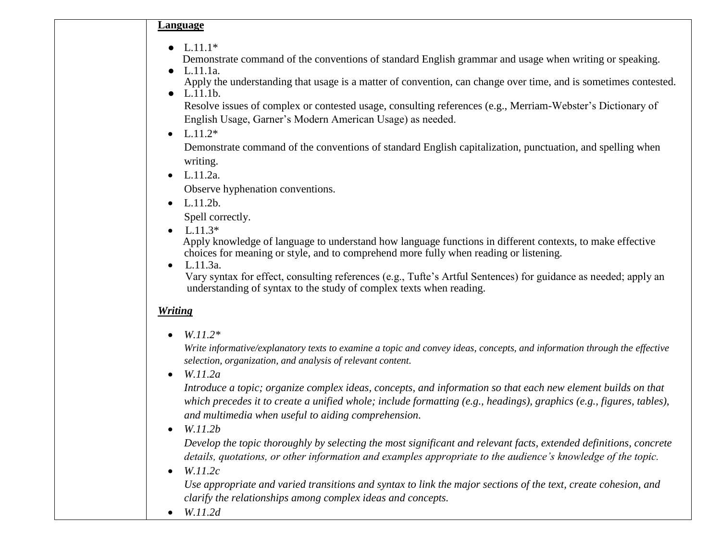**Language**

 $\bullet$  L.11.1\*

Demonstrate command of the conventions of standard English grammar and usage when writing or speaking.

- L.11.1a. Apply the understanding that usage is a matter of convention, can change over time, and is sometimes contested.
- L.11.1b.

Resolve issues of complex or contested usage, consulting references (e.g., Merriam-Webster's Dictionary of English Usage, Garner's Modern American Usage) as needed.

 $\bullet$  L.11.2<sup>\*</sup>

 Demonstrate command of the conventions of standard English capitalization, punctuation, and spelling when writing.

 $-L.11.2a$ .

Observe hyphenation conventions.

 $-L.11.2b.$ 

Spell correctly.

•  $L.11.3*$ 

 Apply knowledge of language to understand how language functions in different contexts, to make effective choices for meaning or style, and to comprehend more fully when reading or listening.

 $-L.11.3a.$ 

 Vary syntax for effect, consulting references (e.g., Tufte's Artful Sentences) for guidance as needed; apply an understanding of syntax to the study of complex texts when reading.

## *Writing*

*W.11.2\**

*Write informative/explanatory texts to examine a topic and convey ideas, concepts, and information through the effective selection, organization, and analysis of relevant content.*

*W.11.2a*

*Introduce a topic; organize complex ideas, concepts, and information so that each new element builds on that which precedes it to create a unified whole; include formatting (e.g., headings), graphics (e.g., figures, tables), and multimedia when useful to aiding comprehension.*

*W.11.2b*

*Develop the topic thoroughly by selecting the most significant and relevant facts, extended definitions, concrete details, quotations, or other information and examples appropriate to the audience's knowledge of the topic.*

*W.11.2c*

*Use appropriate and varied transitions and syntax to link the major sections of the text, create cohesion, and clarify the relationships among complex ideas and concepts.*

*W.11.2d*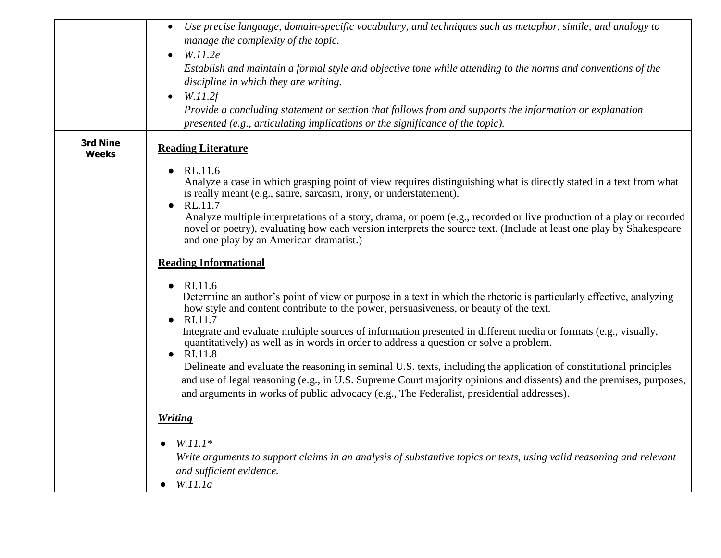|                   | Use precise language, domain-specific vocabulary, and techniques such as metaphor, simile, and analogy to<br>$\bullet$<br>manage the complexity of the topic.<br>W.11.2e<br>$\bullet$                                                                                                                                                  |
|-------------------|----------------------------------------------------------------------------------------------------------------------------------------------------------------------------------------------------------------------------------------------------------------------------------------------------------------------------------------|
|                   | Establish and maintain a formal style and objective tone while attending to the norms and conventions of the<br>discipline in which they are writing.<br>W.11.2f<br>$\bullet$                                                                                                                                                          |
|                   | Provide a concluding statement or section that follows from and supports the information or explanation<br>presented (e.g., articulating implications or the significance of the topic).                                                                                                                                               |
| 3rd Nine<br>Weeks | <b>Reading Literature</b>                                                                                                                                                                                                                                                                                                              |
|                   | RL.11.6<br>$\bullet$<br>Analyze a case in which grasping point of view requires distinguishing what is directly stated in a text from what<br>is really meant (e.g., satire, sarcasm, irony, or understatement).<br>RL.11.7<br>$\bullet$                                                                                               |
|                   | Analyze multiple interpretations of a story, drama, or poem (e.g., recorded or live production of a play or recorded<br>novel or poetry), evaluating how each version interprets the source text. (Include at least one play by Shakespeare<br>and one play by an American dramatist.)                                                 |
|                   | <b>Reading Informational</b>                                                                                                                                                                                                                                                                                                           |
|                   | RI.11.6<br>$\bullet$<br>Determine an author's point of view or purpose in a text in which the rhetoric is particularly effective, analyzing<br>how style and content contribute to the power, persuasiveness, or beauty of the text.<br>RI.11.7<br>$\bullet$                                                                           |
|                   | Integrate and evaluate multiple sources of information presented in different media or formats (e.g., visually,<br>quantitatively) as well as in words in order to address a question or solve a problem.<br>RI.11.8<br>$\bullet$                                                                                                      |
|                   | Delineate and evaluate the reasoning in seminal U.S. texts, including the application of constitutional principles<br>and use of legal reasoning (e.g., in U.S. Supreme Court majority opinions and dissents) and the premises, purposes,<br>and arguments in works of public advocacy (e.g., The Federalist, presidential addresses). |
|                   | <b>Writing</b>                                                                                                                                                                                                                                                                                                                         |
|                   | $W.11.1*$<br>Write arguments to support claims in an analysis of substantive topics or texts, using valid reasoning and relevant<br>and sufficient evidence.<br>$\bullet$ W.11.1a                                                                                                                                                      |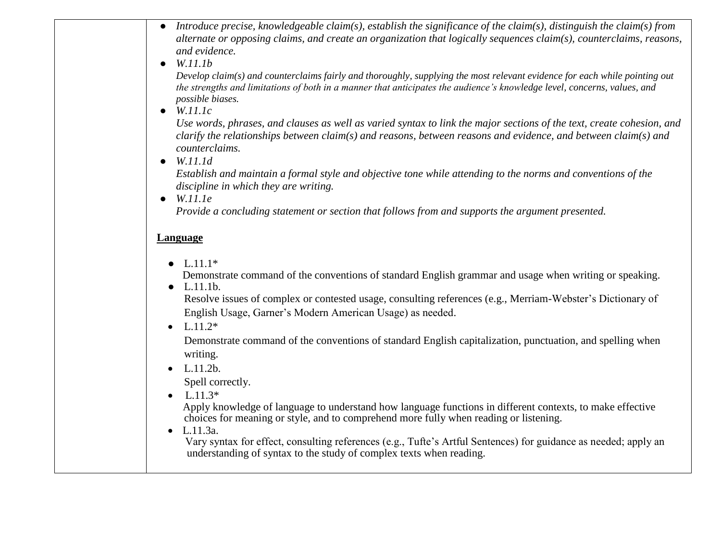- *Introduce precise, knowledgeable claim(s), establish the significance of the claim(s), distinguish the claim(s) from alternate or opposing claims, and create an organization that logically sequences claim(s), counterclaims, reasons, and evidence.*
- *W.11.1b*

*Develop claim(s) and counterclaims fairly and thoroughly, supplying the most relevant evidence for each while pointing out the strengths and limitations of both in a manner that anticipates the audience's knowledge level, concerns, values, and possible biases.*

● *W.11.1c*

*Use words, phrases, and clauses as well as varied syntax to link the major sections of the text, create cohesion, and clarify the relationships between claim(s) and reasons, between reasons and evidence, and between claim(s) and counterclaims.* 

● *W.11.1d*

*Establish and maintain a formal style and objective tone while attending to the norms and conventions of the discipline in which they are writing.*

● *W.11.1e* 

 *Provide a concluding statement or section that follows from and supports the argument presented.*

## **Language**

 $\bullet$  L.11.1<sup>\*</sup>

Demonstrate command of the conventions of standard English grammar and usage when writing or speaking.

 $\bullet$  L.11.1b.

Resolve issues of complex or contested usage, consulting references (e.g., Merriam-Webster's Dictionary of English Usage, Garner's Modern American Usage) as needed.

•  $L.11.2*$ 

 Demonstrate command of the conventions of standard English capitalization, punctuation, and spelling when writing.

 $-L.11.2b.$ 

Spell correctly.

 $\bullet$  L.11.3\*

 Apply knowledge of language to understand how language functions in different contexts, to make effective choices for meaning or style, and to comprehend more fully when reading or listening.

•  $L.11.3a$ .

 Vary syntax for effect, consulting references (e.g., Tufte's Artful Sentences) for guidance as needed; apply an understanding of syntax to the study of complex texts when reading.